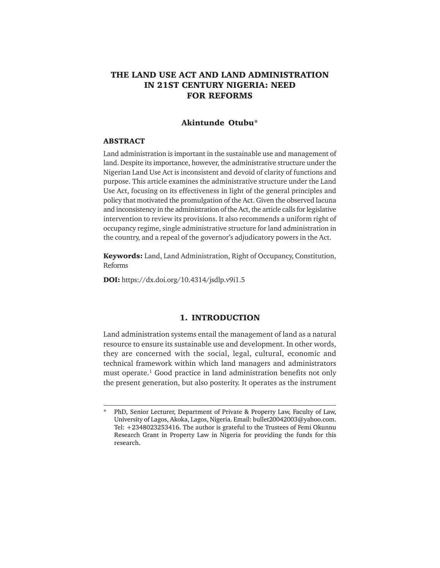# **THE LAND USE ACT AND LAND ADMINISTRATION IN 21ST CENTURY NIGERIA: NEED FOR REFORMS**

# **Akintunde Otubu\***

#### **ABSTRACT**

Land administration is important in the sustainable use and management of land. Despite its importance, however, the administrative structure under the Nigerian Land Use Act is inconsistent and devoid of clarity of functions and purpose. This article examines the administrative structure under the Land Use Act, focusing on its effectiveness in light of the general principles and policy that motivated the promulgation of the Act. Given the observed lacuna and inconsistency in the administration of the Act, the article calls for legislative intervention to review its provisions. It also recommends a uniform right of occupancy regime, single administrative structure for land administration in the country, and a repeal of the governor's adjudicatory powers in the Act.

**Keywords:** Land, Land Administration, Right of Occupancy, Constitution, Reforms

**DOI:** https://dx.doi.org/10.4314/jsdlp.v9i1.5

### **1. INTRODUCTION**

Land administration systems entail the management of land as a natural resource to ensure its sustainable use and development. In other words, they are concerned with the social, legal, cultural, economic and technical framework within which land managers and administrators must operate.<sup>1</sup> Good practice in land administration benefits not only the present generation, but also posterity. It operates as the instrument

PhD, Senior Lecturer, Department of Private & Property Law, Faculty of Law, University of Lagos, Akoka, Lagos, Nigeria. Email: bullet20042003@yahoo.com. Tel: +2348023253416. The author is grateful to the Trustees of Femi Okunnu Research Grant in Property Law in Nigeria for providing the funds for this research.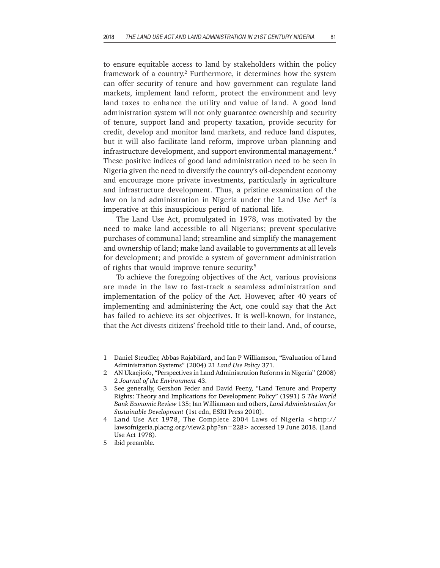to ensure equitable access to land by stakeholders within the policy framework of a country.<sup>2</sup> Furthermore, it determines how the system can offer security of tenure and how government can regulate land markets, implement land reform, protect the environment and levy land taxes to enhance the utility and value of land. A good land administration system will not only guarantee ownership and security of tenure, support land and property taxation, provide security for credit, develop and monitor land markets, and reduce land disputes, but it will also facilitate land reform, improve urban planning and infrastructure development, and support environmental management.<sup>3</sup> These positive indices of good land administration need to be seen in Nigeria given the need to diversify the country's oil-dependent economy and encourage more private investments, particularly in agriculture and infrastructure development. Thus, a pristine examination of the law on land administration in Nigeria under the Land Use Act<sup>4</sup> is imperative at this inauspicious period of national life.

The Land Use Act, promulgated in 1978, was motivated by the need to make land accessible to all Nigerians; prevent speculative purchases of communal land; streamline and simplify the management and ownership of land; make land available to governments at all levels for development; and provide a system of government administration of rights that would improve tenure security.<sup>5</sup>

To achieve the foregoing objectives of the Act, various provisions are made in the law to fast-track a seamless administration and implementation of the policy of the Act. However, after 40 years of implementing and administering the Act, one could say that the Act has failed to achieve its set objectives. It is well-known, for instance, that the Act divests citizens' freehold title to their land. And, of course,

<sup>1</sup> Daniel Steudler, Abbas Rajabifard, and Ian P Williamson, "Evaluation of Land Administration Systems" (2004) 21 *Land Use Policy* 371.

<sup>2</sup> AN Ukaejiofo, "Perspectives in Land Administration Reforms in Nigeria" (2008) 2 *Journal of the Environment* 43.

<sup>3</sup> See generally, Gershon Feder and David Feeny, "Land Tenure and Property Rights: Theory and Implications for Development Policy" (1991) 5 *The World Bank Economic Review* 135; Ian Williamson and others, *Land Administration for Sustainable Development* (1st edn, ESRI Press 2010).

<sup>4</sup> Land Use Act 1978, The Complete 2004 Laws of Nigeria <http:// lawsofnigeria.placng.org/view2.php?sn=228> accessed 19 June 2018. (Land Use Act 1978).

<sup>5</sup> ibid preamble.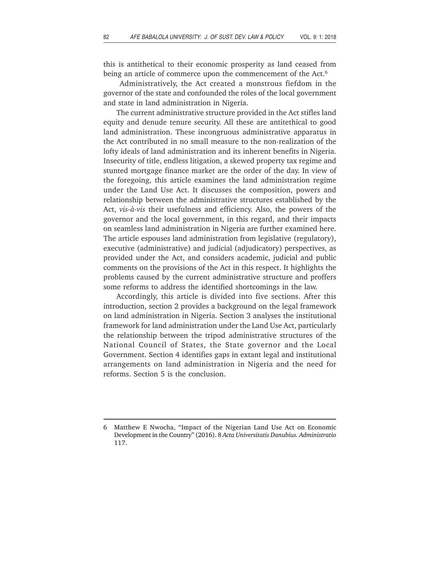this is antithetical to their economic prosperity as land ceased from being an article of commerce upon the commencement of the Act.<sup>6</sup>

 Administratively, the Act created a monstrous fiefdom in the governor of the state and confounded the roles of the local government and state in land administration in Nigeria.

The current administrative structure provided in the Act stifles land equity and denude tenure security. All these are antitethical to good land administration. These incongruous administrative apparatus in the Act contributed in no small measure to the non-realization of the lofty ideals of land administration and its inherent benefits in Nigeria. Insecurity of title, endless litigation, a skewed property tax regime and stunted mortgage finance market are the order of the day. In view of the foregoing, this article examines the land administration regime under the Land Use Act. It discusses the composition, powers and relationship between the administrative structures established by the Act, *vis-à-vis* their usefulness and efficiency. Also, the powers of the governor and the local government, in this regard, and their impacts on seamless land administration in Nigeria are further examined here. The article espouses land administration from legislative (regulatory), executive (administrative) and judicial (adjudicatory) perspectives, as provided under the Act, and considers academic, judicial and public comments on the provisions of the Act in this respect. It highlights the problems caused by the current administrative structure and proffers some reforms to address the identified shortcomings in the law.

Accordingly, this article is divided into five sections. After this introduction, section 2 provides a background on the legal framework on land administration in Nigeria. Section 3 analyses the institutional framework for land administration under the Land Use Act, particularly the relationship between the tripod administrative structures of the National Council of States, the State governor and the Local Government. Section 4 identifies gaps in extant legal and institutional arrangements on land administration in Nigeria and the need for reforms. Section 5 is the conclusion.

<sup>6</sup> Matthew E Nwocha, "Impact of the Nigerian Land Use Act on Economic Development in the Country" (2016). 8 *Acta Universitatis Danubius. Administratio* 117.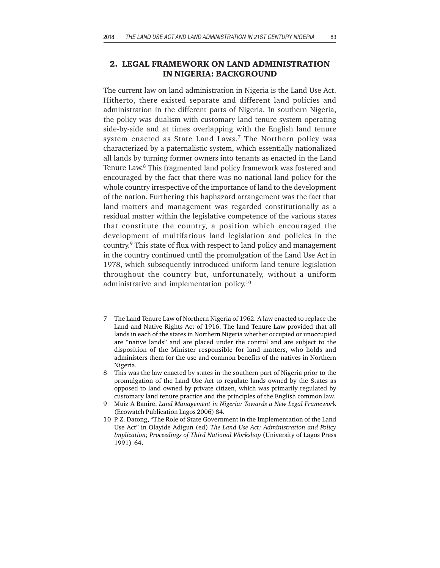# **2. LEGAL FRAMEWORK ON LAND ADMINISTRATION IN NIGERIA: BACKGROUND**

The current law on land administration in Nigeria is the Land Use Act. Hitherto, there existed separate and different land policies and administration in the different parts of Nigeria. In southern Nigeria, the policy was dualism with customary land tenure system operating side-by-side and at times overlapping with the English land tenure system enacted as State Land Laws.<sup>7</sup> The Northern policy was characterized by a paternalistic system, which essentially nationalized all lands by turning former owners into tenants as enacted in the Land Tenure Law.<sup>8</sup> This fragmented land policy framework was fostered and encouraged by the fact that there was no national land policy for the whole country irrespective of the importance of land to the development of the nation. Furthering this haphazard arrangement was the fact that land matters and management was regarded constitutionally as a residual matter within the legislative competence of the various states that constitute the country, a position which encouraged the development of multifarious land legislation and policies in the country.9 This state of flux with respect to land policy and management in the country continued until the promulgation of the Land Use Act in 1978, which subsequently introduced uniform land tenure legislation throughout the country but, unfortunately, without a uniform administrative and implementation policy.10

<sup>7</sup> The Land Tenure Law of Northern Nigeria of 1962. A law enacted to replace the Land and Native Rights Act of 1916. The land Tenure Law provided that all lands in each of the states in Northern Nigeria whether occupied or unoccupied are "native lands" and are placed under the control and are subject to the disposition of the Minister responsible for land matters, who holds and administers them for the use and common benefits of the natives in Northern Nigeria.

<sup>8</sup> This was the law enacted by states in the southern part of Nigeria prior to the promulgation of the Land Use Act to regulate lands owned by the States as opposed to land owned by private citizen, which was primarily regulated by customary land tenure practice and the principles of the English common law.

<sup>9</sup> Muiz A Banire, *Land Management in Nigeria: Towards a New Legal Framewor*k (Ecowatch Publication Lagos 2006) 84.

<sup>10</sup> P. Z. Datong, "The Role of State Government in the Implementation of the Land Use Act" in Olayide Adigun (ed) *The Land Use Act: Administration and Policy Implication; Proceedings of Third National Workshop* (University of Lagos Press 1991) 64.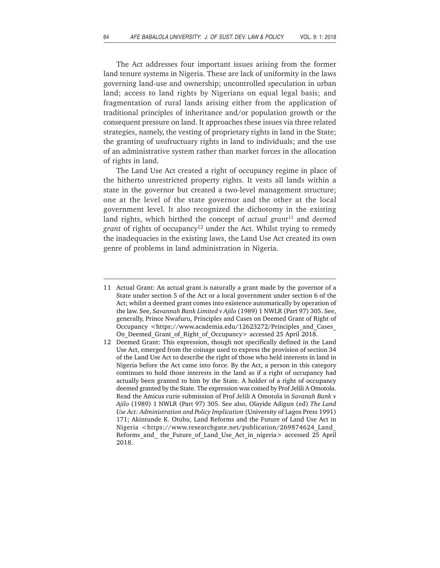The Act addresses four important issues arising from the former land tenure systems in Nigeria. These are lack of uniformity in the laws governing land-use and ownership; uncontrolled speculation in urban land; access to land rights by Nigerians on equal legal basis; and fragmentation of rural lands arising either from the application of traditional principles of inheritance and/or population growth or the consequent pressure on land. It approaches these issues via three related strategies, namely, the vesting of proprietary rights in land in the State; the granting of usufructuary rights in land to individuals; and the use of an administrative system rather than market forces in the allocation of rights in land.

The Land Use Act created a right of occupancy regime in place of the hitherto unrestricted property rights. It vests all lands within a state in the governor but created a two-level management structure; one at the level of the state governor and the other at the local government level. It also recognized the dichotomy in the existing land rights, which birthed the concept of *actual grant*11 and *deemed* grant of rights of occupancy<sup>12</sup> under the Act. Whilst trying to remedy the inadequacies in the existing laws, the Land Use Act created its own genre of problems in land administration in Nigeria.

<sup>11</sup> Actual Grant: An actual grant is naturally a grant made by the governor of a State under section 5 of the Act or a local government under section 6 of the Act; whilst a deemed grant comes into existence automatically by operation of the law. See, *Savannah Bank Limited v Ajilo* (1989) 1 NWLR (Part 97) 305. See, generally, Prince Nwafuru, Principles and Cases on Deemed Grant of Right of Occupancy <https://www.academia.edu/12623272/Principles and Cases On\_Deemed\_Grant\_of\_Right\_of\_Occupancy> accessed 25 April 2018.

<sup>12</sup> Deemed Grant: This expression, though not specifically defined in the Land Use Act, emerged from the coinage used to express the provision of section 34 of the Land Use Act to describe the right of those who held interests in land in Nigeria before the Act came into force. By the Act, a person in this category continues to hold those interests in the land as if a right of occupancy had actually been granted to him by the State. A holder of a right of occupancy deemed granted by the State. The expression was coined by Prof Jelili A Omotola. Read the Amicus curie submission of Prof Jelili A Omotola in *Savanah Bank v Ajilo* (1989) 1 NWLR (Part 97) 305. See also, Olayide Adigun (ed) *The Land Use Act: Administration and Policy Implication* (University of Lagos Press 1991) 171; Akintunde K. Otubu, Land Reforms and the Future of Land Use Act in Nigeria <https://www.researchgate.net/publication/269874624 Land Reforms\_and\_ the\_Future\_of\_Land\_Use\_Act\_in\_nigeria> accessed 25 April 2018.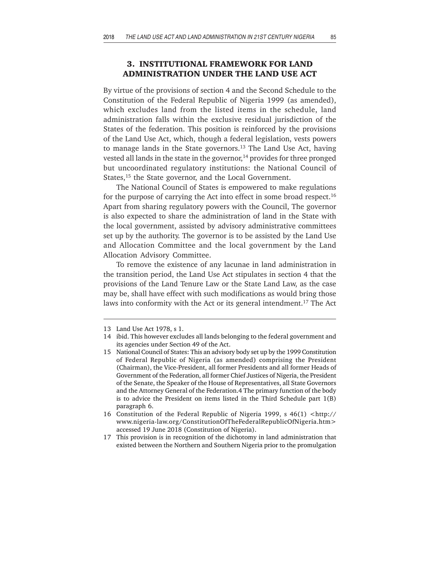# **3. INSTITUTIONAL FRAMEWORK FOR LAND ADMINISTRATION UNDER THE LAND USE ACT**

By virtue of the provisions of section 4 and the Second Schedule to the Constitution of the Federal Republic of Nigeria 1999 (as amended), which excludes land from the listed items in the schedule, land administration falls within the exclusive residual jurisdiction of the States of the federation. This position is reinforced by the provisions of the Land Use Act, which, though a federal legislation, vests powers to manage lands in the State governors.<sup>13</sup> The Land Use Act, having vested all lands in the state in the governor, $14$  provides for three pronged but uncoordinated regulatory institutions: the National Council of States,<sup>15</sup> the State governor, and the Local Government.

The National Council of States is empowered to make regulations for the purpose of carrying the Act into effect in some broad respect.<sup>16</sup> Apart from sharing regulatory powers with the Council, The governor is also expected to share the administration of land in the State with the local government, assisted by advisory administrative committees set up by the authority. The governor is to be assisted by the Land Use and Allocation Committee and the local government by the Land Allocation Advisory Committee.

To remove the existence of any lacunae in land administration in the transition period, the Land Use Act stipulates in section 4 that the provisions of the Land Tenure Law or the State Land Law, as the case may be, shall have effect with such modifications as would bring those laws into conformity with the Act or its general intendment.<sup>17</sup> The Act

<sup>13</sup> Land Use Act 1978, s 1.

<sup>14</sup> ibid. This however excludes all lands belonging to the federal government and its agencies under Section 49 of the Act.

<sup>15</sup> National Council of States: This an advisory body set up by the 1999 Constitution of Federal Republic of Nigeria (as amended) comprising the President (Chairman), the Vice-President, all former Presidents and all former Heads of Government of the Federation, all former Chief Justices of Nigeria, the President of the Senate, the Speaker of the House of Representatives, all State Governors and the Attorney General of the Federation.4 The primary function of the body is to advice the President on items listed in the Third Schedule part 1(B) paragraph 6.

<sup>16</sup> Constitution of the Federal Republic of Nigeria 1999, s 46(1) <http:// www.nigeria-law.org/ConstitutionOfTheFederalRepublicOfNigeria.htm> accessed 19 June 2018 (Constitution of Nigeria).

<sup>17</sup> This provision is in recognition of the dichotomy in land administration that existed between the Northern and Southern Nigeria prior to the promulgation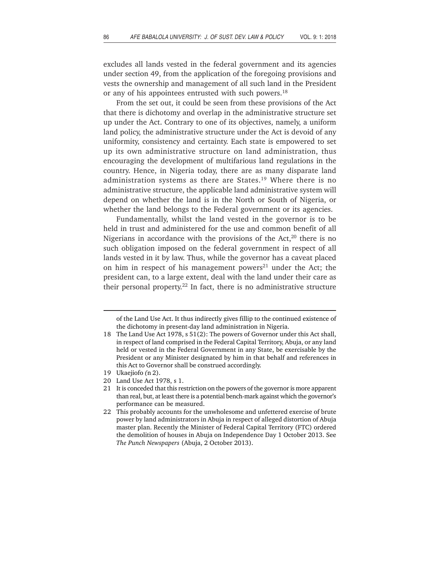excludes all lands vested in the federal government and its agencies under section 49, from the application of the foregoing provisions and vests the ownership and management of all such land in the President or any of his appointees entrusted with such powers.<sup>18</sup>

From the set out, it could be seen from these provisions of the Act that there is dichotomy and overlap in the administrative structure set up under the Act. Contrary to one of its objectives, namely, a uniform land policy, the administrative structure under the Act is devoid of any uniformity, consistency and certainty. Each state is empowered to set up its own administrative structure on land administration, thus encouraging the development of multifarious land regulations in the country. Hence, in Nigeria today, there are as many disparate land administration systems as there are States.19 Where there is no administrative structure, the applicable land administrative system will depend on whether the land is in the North or South of Nigeria, or whether the land belongs to the Federal government or its agencies.

Fundamentally, whilst the land vested in the governor is to be held in trust and administered for the use and common benefit of all Nigerians in accordance with the provisions of the Act, $20$  there is no such obligation imposed on the federal government in respect of all lands vested in it by law. Thus, while the governor has a caveat placed on him in respect of his management powers $21$  under the Act; the president can, to a large extent, deal with the land under their care as their personal property.<sup>22</sup> In fact, there is no administrative structure

of the Land Use Act. It thus indirectly gives fillip to the continued existence of the dichotomy in present-day land administration in Nigeria.

<sup>18</sup> The Land Use Act 1978, s 51(2): The powers of Governor under this Act shall, in respect of land comprised in the Federal Capital Territory, Abuja, or any land held or vested in the Federal Government in any State, be exercisable by the President or any Minister designated by him in that behalf and references in this Act to Governor shall be construed accordingly.

<sup>19</sup> Ukaejiofo *(*n 2).

<sup>20</sup> Land Use Act 1978, s 1.

<sup>21</sup> It is conceded that this restriction on the powers of the governor is more apparent than real, but, at least there is a potential bench-mark against which the governor's performance can be measured.

<sup>22</sup> This probably accounts for the unwholesome and unfettered exercise of brute power by land administrators in Abuja in respect of alleged distortion of Abuja master plan. Recently the Minister of Federal Capital Territory (FTC) ordered the demolition of houses in Abuja on Independence Day 1 October 2013. See *The Punch Newspapers* (Abuja, 2 October 2013).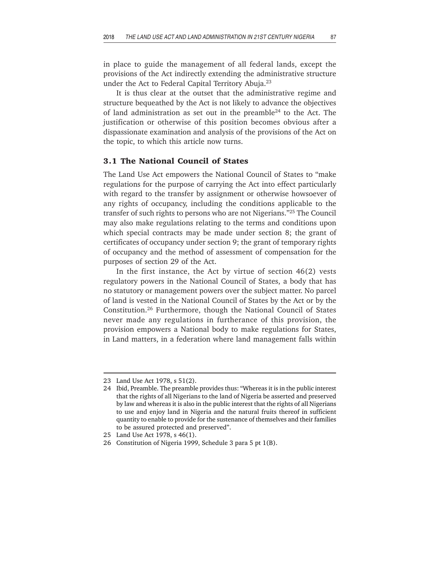in place to guide the management of all federal lands, except the provisions of the Act indirectly extending the administrative structure under the Act to Federal Capital Territory Abuja.23

It is thus clear at the outset that the administrative regime and structure bequeathed by the Act is not likely to advance the objectives of land administration as set out in the preamble<sup>24</sup> to the Act. The justification or otherwise of this position becomes obvious after a dispassionate examination and analysis of the provisions of the Act on the topic, to which this article now turns.

#### **3.1 The National Council of States**

The Land Use Act empowers the National Council of States to "make regulations for the purpose of carrying the Act into effect particularly with regard to the transfer by assignment or otherwise howsoever of any rights of occupancy, including the conditions applicable to the transfer of such rights to persons who are not Nigerians."25 The Council may also make regulations relating to the terms and conditions upon which special contracts may be made under section 8; the grant of certificates of occupancy under section 9; the grant of temporary rights of occupancy and the method of assessment of compensation for the purposes of section 29 of the Act.

In the first instance, the Act by virtue of section 46(2) vests regulatory powers in the National Council of States, a body that has no statutory or management powers over the subject matter. No parcel of land is vested in the National Council of States by the Act or by the Constitution.26 Furthermore, though the National Council of States never made any regulations in furtherance of this provision, the provision empowers a National body to make regulations for States, in Land matters, in a federation where land management falls within

<sup>23</sup> Land Use Act 1978, s 51(2).

<sup>24</sup> Ibid, Preamble. The preamble provides thus: "Whereas it is in the public interest that the rights of all Nigerians to the land of Nigeria be asserted and preserved by law and whereas it is also in the public interest that the rights of all Nigerians to use and enjoy land in Nigeria and the natural fruits thereof in sufficient quantity to enable to provide for the sustenance of themselves and their families to be assured protected and preserved".

<sup>25</sup> Land Use Act 1978, s 46(1).

<sup>26</sup> Constitution of Nigeria 1999, Schedule 3 para 5 pt 1(B).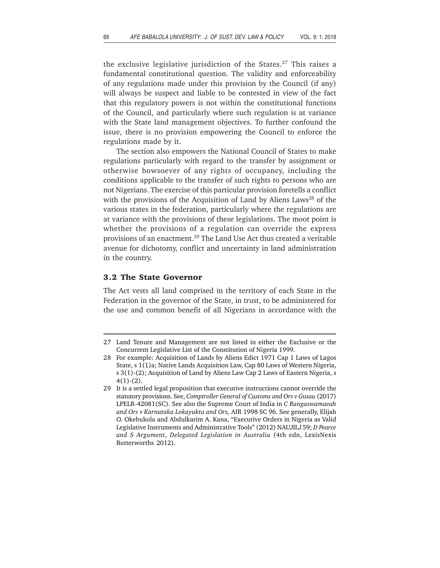the exclusive legislative jurisdiction of the States.<sup>27</sup> This raises a fundamental constitutional question. The validity and enforceability of any regulations made under this provision by the Council (if any) will always be suspect and liable to be contested in view of the fact that this regulatory powers is not within the constitutional functions of the Council, and particularly where such regulation is at variance with the State land management objectives. To further confound the issue, there is no provision empowering the Council to enforce the regulations made by it.

The section also empowers the National Council of States to make regulations particularly with regard to the transfer by assignment or otherwise howsoever of any rights of occupancy, including the conditions applicable to the transfer of such rights to persons who are not Nigerians. The exercise of this particular provision foretells a conflict with the provisions of the Acquisition of Land by Aliens Laws<sup>28</sup> of the various states in the federation, particularly where the regulations are at variance with the provisions of these legislations. The moot point is whether the provisions of a regulation can override the express provisions of an enactment.29 The Land Use Act thus created a veritable avenue for dichotomy, conflict and uncertainty in land administration in the country.

## **3.2 The State Governor**

The Act vests all land comprised in the territory of each State in the Federation in the governor of the State, in trust, to be administered for the use and common benefit of all Nigerians in accordance with the

<sup>27</sup> Land Tenure and Management are not listed in either the Exclusive or the Concurrent Legislative List of the Constitution of Nigeria 1999.

<sup>28</sup> For example: Acquisition of Lands by Aliens Edict 1971 Cap 1 Laws of Lagos State, s 1(1)a; Native Lands Acquisition Law, Cap 80 Laws of Western Nigeria, s 3(1)-(2); Acquisition of Land by Aliens Law Cap 2 Laws of Eastern Nigeria, s  $4(1)-(2)$ .

<sup>29</sup> It is a settled legal proposition that executive instructions cannot override the statutory provisions. See, *Comptroller General of Customs and Ors v Gusau* (2017) LPELR-42081(SC). See also the Supreme Court of India in *C Rangaswamaeah and Ors v Karnataka Lokayukta and Ors,* AIR 1998 SC 96. See generally, Elijah O. Okebukola and Abdulkarim A. Kana, "Executive Orders in Nigeria as Valid Legislative Instruments and Administrative Tools" (2012) NAUJILJ 59; *D Pearce and S Argument*, *Delegated Legislation in Australia* (4th edn, LexisNexis Butterworths 2012).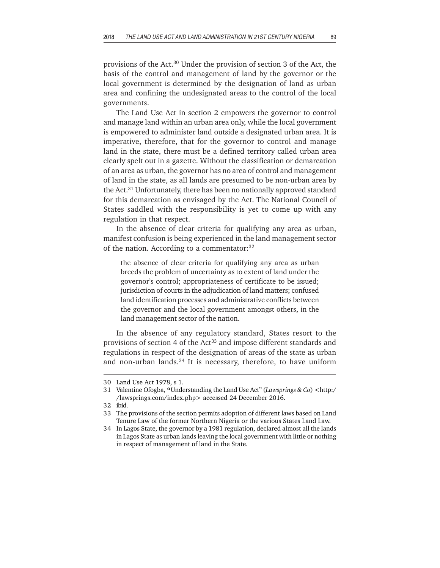provisions of the Act.30 Under the provision of section 3 of the Act, the basis of the control and management of land by the governor or the local government is determined by the designation of land as urban area and confining the undesignated areas to the control of the local governments.

The Land Use Act in section 2 empowers the governor to control and manage land within an urban area only, while the local government is empowered to administer land outside a designated urban area. It is imperative, therefore, that for the governor to control and manage land in the state, there must be a defined territory called urban area clearly spelt out in a gazette. Without the classification or demarcation of an area as urban, the governor has no area of control and management of land in the state, as all lands are presumed to be non-urban area by the Act.<sup>31</sup> Unfortunately, there has been no nationally approved standard for this demarcation as envisaged by the Act. The National Council of States saddled with the responsibility is yet to come up with any regulation in that respect.

In the absence of clear criteria for qualifying any area as urban, manifest confusion is being experienced in the land management sector of the nation. According to a commentator:<sup>32</sup>

the absence of clear criteria for qualifying any area as urban breeds the problem of uncertainty as to extent of land under the governor's control; appropriateness of certificate to be issued; jurisdiction of courts in the adjudication of land matters; confused land identification processes and administrative conflicts between the governor and the local government amongst others, in the land management sector of the nation.

In the absence of any regulatory standard, States resort to the provisions of section 4 of the Act<sup>33</sup> and impose different standards and regulations in respect of the designation of areas of the state as urban and non-urban lands.<sup>34</sup> It is necessary, therefore, to have uniform

<sup>30</sup> Land Use Act 1978, s 1.

<sup>31</sup> Valentine Ofogba, **"**Understanding the Land Use Act" (*Lawsprings & Co*) <http:/ /lawsprings.com/index.php> accessed 24 December 2016.

<sup>32</sup> ibid.

<sup>33</sup> The provisions of the section permits adoption of different laws based on Land Tenure Law of the former Northern Nigeria or the various States Land Law.

<sup>34</sup> In Lagos State, the governor by a 1981 regulation, declared almost all the lands in Lagos State as urban lands leaving the local government with little or nothing in respect of management of land in the State.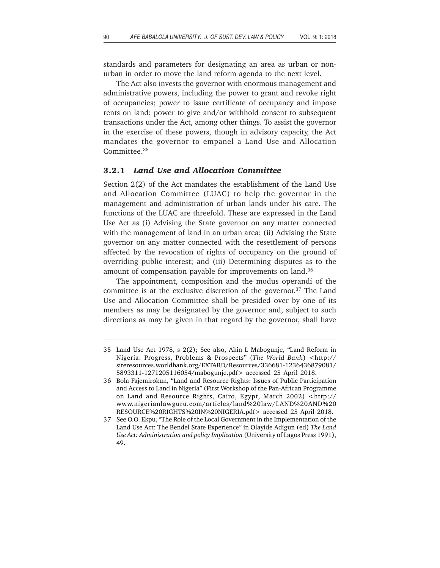standards and parameters for designating an area as urban or nonurban in order to move the land reform agenda to the next level.

The Act also invests the governor with enormous management and administrative powers, including the power to grant and revoke right of occupancies; power to issue certificate of occupancy and impose rents on land; power to give and/or withhold consent to subsequent transactions under the Act, among other things. To assist the governor in the exercise of these powers, though in advisory capacity, the Act mandates the governor to empanel a Land Use and Allocation Committee.35

#### **3.2.1** *Land Use and Allocation Committee*

Section 2(2) of the Act mandates the establishment of the Land Use and Allocation Committee (LUAC) to help the governor in the management and administration of urban lands under his care. The functions of the LUAC are threefold. These are expressed in the Land Use Act as (i) Advising the State governor on any matter connected with the management of land in an urban area; (ii) Advising the State governor on any matter connected with the resettlement of persons affected by the revocation of rights of occupancy on the ground of overriding public interest; and (iii) Determining disputes as to the amount of compensation payable for improvements on land.<sup>36</sup>

The appointment, composition and the modus operandi of the committee is at the exclusive discretion of the governor.37 The Land Use and Allocation Committee shall be presided over by one of its members as may be designated by the governor and, subject to such directions as may be given in that regard by the governor, shall have

<sup>35</sup> Land Use Act 1978, s 2(2); See also, Akin L Mabogunje, "Land Reform in Nigeria: Progress, Problems & Prospects" (*The World Bank*) <http:// siteresources.worldbank.org/EXTARD/Resources/336681-1236436879081/ 5893311-1271205116054/mabogunje.pdf> accessed 25 April 2018.

<sup>36</sup> Bola Fajemirokun, "Land and Resource Rights: Issues of Public Participation and Access to Land in Nigeria" (First Workshop of the Pan-African Programme on Land and Resource Rights, Cairo, Egypt, March 2002) <http:// www.nigerianlawguru.com/articles/land%20law/LAND%20AND%20 RESOURCE%20RIGHTS%20IN%20NIGERIA.pdf> accessed 25 April 2018.

<sup>37</sup> See O.O. Ekpu, "The Role of the Local Government in the Implementation of the Land Use Act: The Bendel State Experience" in Olayide Adigun (ed) *The Land Use Act: Administration and policy Implication* (University of Lagos Press 1991), 49.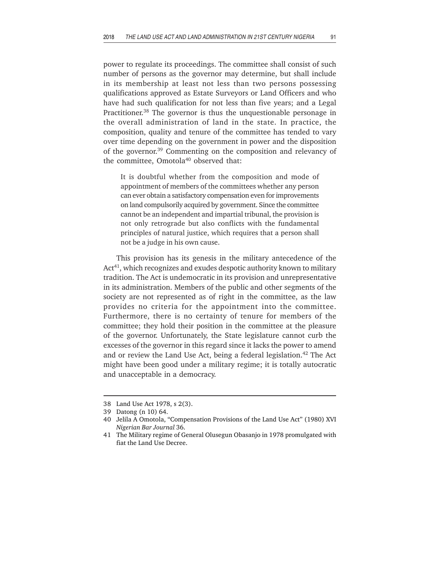power to regulate its proceedings. The committee shall consist of such number of persons as the governor may determine, but shall include in its membership at least not less than two persons possessing qualifications approved as Estate Surveyors or Land Officers and who have had such qualification for not less than five years; and a Legal Practitioner.38 The governor is thus the unquestionable personage in the overall administration of land in the state. In practice, the composition, quality and tenure of the committee has tended to vary over time depending on the government in power and the disposition of the governor.39 Commenting on the composition and relevancy of the committee, Omotola<sup>40</sup> observed that:

It is doubtful whether from the composition and mode of appointment of members of the committees whether any person can ever obtain a satisfactory compensation even for improvements on land compulsorily acquired by government. Since the committee cannot be an independent and impartial tribunal, the provision is not only retrograde but also conflicts with the fundamental principles of natural justice, which requires that a person shall not be a judge in his own cause.

This provision has its genesis in the military antecedence of the Act<sup>41</sup>, which recognizes and exudes despotic authority known to military tradition. The Act is undemocratic in its provision and unrepresentative in its administration. Members of the public and other segments of the society are not represented as of right in the committee, as the law provides no criteria for the appointment into the committee. Furthermore, there is no certainty of tenure for members of the committee; they hold their position in the committee at the pleasure of the governor. Unfortunately, the State legislature cannot curb the excesses of the governor in this regard since it lacks the power to amend and or review the Land Use Act, being a federal legislation.<sup>42</sup> The Act might have been good under a military regime; it is totally autocratic and unacceptable in a democracy.

<sup>38</sup> Land Use Act 1978, s 2(3).

<sup>39</sup> Datong (n 10) 64.

<sup>40</sup> Jelila A Omotola, "Compensation Provisions of the Land Use Act" (1980) XVI *Nigerian Bar Journal* 36.

<sup>41</sup> The Military regime of General Olusegun Obasanjo in 1978 promulgated with fiat the Land Use Decree.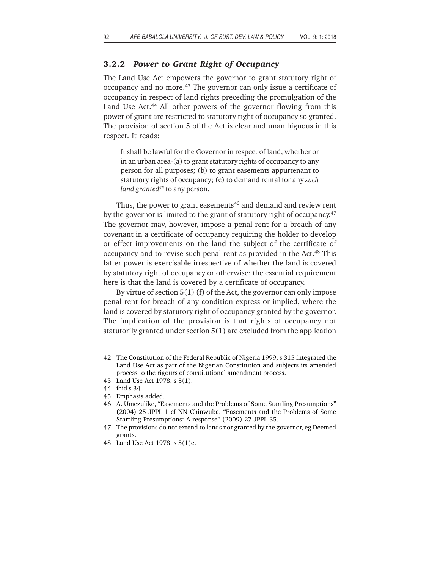### **3.2.2** *Power to Grant Right of Occupancy*

The Land Use Act empowers the governor to grant statutory right of occupancy and no more.43 The governor can only issue a certificate of occupancy in respect of land rights preceding the promulgation of the Land Use Act.<sup>44</sup> All other powers of the governor flowing from this power of grant are restricted to statutory right of occupancy so granted. The provision of section 5 of the Act is clear and unambiguous in this respect. It reads:

It shall be lawful for the Governor in respect of land, whether or in an urban area-(a) to grant statutory rights of occupancy to any person for all purposes; (b) to grant easements appurtenant to statutory rights of occupancy; (c) to demand rental for any *such land granted45* to any person.

Thus, the power to grant easements<sup>46</sup> and demand and review rent by the governor is limited to the grant of statutory right of occupancy.<sup>47</sup> The governor may, however, impose a penal rent for a breach of any covenant in a certificate of occupancy requiring the holder to develop or effect improvements on the land the subject of the certificate of occupancy and to revise such penal rent as provided in the Act.<sup>48</sup> This latter power is exercisable irrespective of whether the land is covered by statutory right of occupancy or otherwise; the essential requirement here is that the land is covered by a certificate of occupancy.

By virtue of section 5(1) (f) of the Act, the governor can only impose penal rent for breach of any condition express or implied, where the land is covered by statutory right of occupancy granted by the governor. The implication of the provision is that rights of occupancy not statutorily granted under section 5(1) are excluded from the application

47 The provisions do not extend to lands not granted by the governor, eg Deemed grants.

<sup>42</sup> The Constitution of the Federal Republic of Nigeria 1999, s 315 integrated the Land Use Act as part of the Nigerian Constitution and subjects its amended process to the rigours of constitutional amendment process.

<sup>43</sup> Land Use Act 1978, s 5(1).

<sup>44</sup> ibid s 34.

<sup>45</sup> Emphasis added.

<sup>46</sup> A. Umezulike, "Easements and the Problems of Some Startling Presumptions" (2004) 25 JPPL 1 cf NN Chinwuba, "Easements and the Problems of Some Startling Presumptions: A response" (2009) 27 JPPL 35.

<sup>48</sup> Land Use Act 1978, s 5(1)e.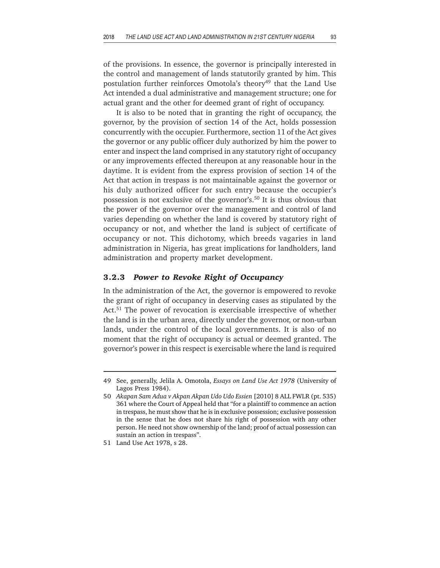of the provisions. In essence, the governor is principally interested in the control and management of lands statutorily granted by him. This postulation further reinforces Omotola's theory<sup>49</sup> that the Land Use Act intended a dual administrative and management structure; one for actual grant and the other for deemed grant of right of occupancy.

It is also to be noted that in granting the right of occupancy, the governor, by the provision of section 14 of the Act, holds possession concurrently with the occupier. Furthermore, section 11 of the Act gives the governor or any public officer duly authorized by him the power to enter and inspect the land comprised in any statutory right of occupancy or any improvements effected thereupon at any reasonable hour in the daytime. It is evident from the express provision of section 14 of the Act that action in trespass is not maintainable against the governor or his duly authorized officer for such entry because the occupier's possession is not exclusive of the governor's.50 It is thus obvious that the power of the governor over the management and control of land varies depending on whether the land is covered by statutory right of occupancy or not, and whether the land is subject of certificate of occupancy or not. This dichotomy, which breeds vagaries in land administration in Nigeria, has great implications for landholders, land administration and property market development.

### **3.2.3** *Power to Revoke Right of Occupancy*

In the administration of the Act, the governor is empowered to revoke the grant of right of occupancy in deserving cases as stipulated by the Act.<sup>51</sup> The power of revocation is exercisable irrespective of whether the land is in the urban area, directly under the governor, or non-urban lands, under the control of the local governments. It is also of no moment that the right of occupancy is actual or deemed granted. The governor's power in this respect is exercisable where the land is required

<sup>49</sup> See, generally, Jelila A. Omotola, *Essays on Land Use Act 1978* (University of Lagos Press 1984).

<sup>50</sup> *Akapan Sam Adua v Akpan Akpan Udo Udo Essien* [2010] 8 ALL FWLR (pt. 535) 361 where the Court of Appeal held that "for a plaintiff to commence an action in trespass, he must show that he is in exclusive possession; exclusive possession in the sense that he does not share his right of possession with any other person. He need not show ownership of the land; proof of actual possession can sustain an action in trespass".

<sup>51</sup> Land Use Act 1978, s 28.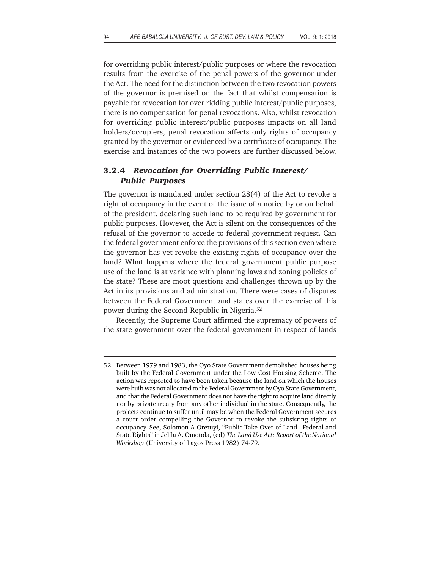for overriding public interest/public purposes or where the revocation results from the exercise of the penal powers of the governor under the Act. The need for the distinction between the two revocation powers of the governor is premised on the fact that whilst compensation is payable for revocation for over ridding public interest/public purposes, there is no compensation for penal revocations. Also, whilst revocation for overriding public interest/public purposes impacts on all land holders/occupiers, penal revocation affects only rights of occupancy granted by the governor or evidenced by a certificate of occupancy. The exercise and instances of the two powers are further discussed below.

# **3.2.4** *Revocation for Overriding Public Interest/ Public Purposes*

The governor is mandated under section 28(4) of the Act to revoke a right of occupancy in the event of the issue of a notice by or on behalf of the president, declaring such land to be required by government for public purposes. However, the Act is silent on the consequences of the refusal of the governor to accede to federal government request. Can the federal government enforce the provisions of this section even where the governor has yet revoke the existing rights of occupancy over the land? What happens where the federal government public purpose use of the land is at variance with planning laws and zoning policies of the state? These are moot questions and challenges thrown up by the Act in its provisions and administration. There were cases of disputes between the Federal Government and states over the exercise of this power during the Second Republic in Nigeria.52

Recently, the Supreme Court affirmed the supremacy of powers of the state government over the federal government in respect of lands

<sup>52</sup> Between 1979 and 1983, the Oyo State Government demolished houses being built by the Federal Government under the Low Cost Housing Scheme. The action was reported to have been taken because the land on which the houses were built was not allocated to the Federal Government by Oyo State Government, and that the Federal Government does not have the right to acquire land directly nor by private treaty from any other individual in the state. Consequently, the projects continue to suffer until may be when the Federal Government secures a court order compelling the Governor to revoke the subsisting rights of occupancy. See, Solomon A Oretuyi, "Public Take Over of Land –Federal and State Rights" in Jelila A. Omotola, (ed) *The Land Use Act: Report of the National Workshop* (University of Lagos Press 1982) 74-79.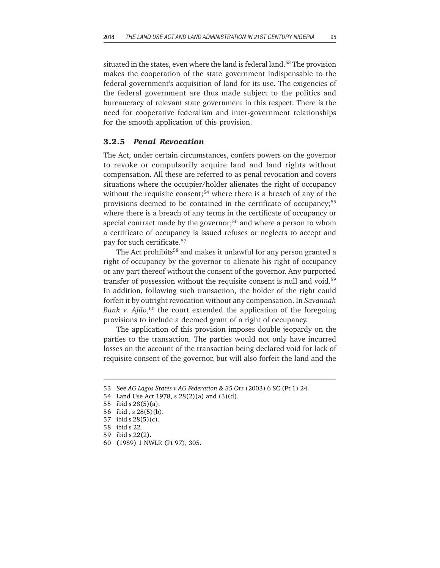situated in the states, even where the land is federal land.<sup>53</sup> The provision makes the cooperation of the state government indispensable to the federal government's acquisition of land for its use. The exigencies of the federal government are thus made subject to the politics and bureaucracy of relevant state government in this respect. There is the need for cooperative federalism and inter-government relationships for the smooth application of this provision.

# **3.2.5** *Penal Revocation*

The Act, under certain circumstances, confers powers on the governor to revoke or compulsorily acquire land and land rights without compensation. All these are referred to as penal revocation and covers situations where the occupier/holder alienates the right of occupancy without the requisite consent;<sup>54</sup> where there is a breach of any of the provisions deemed to be contained in the certificate of occupancy;<sup>55</sup> where there is a breach of any terms in the certificate of occupancy or special contract made by the governor;<sup>56</sup> and where a person to whom a certificate of occupancy is issued refuses or neglects to accept and pay for such certificate.57

The Act prohibits<sup>58</sup> and makes it unlawful for any person granted a right of occupancy by the governor to alienate his right of occupancy or any part thereof without the consent of the governor. Any purported transfer of possession without the requisite consent is null and void.<sup>59</sup> In addition, following such transaction, the holder of the right could forfeit it by outright revocation without any compensation. In *Savannah* Bank v. Ajilo,<sup>60</sup> the court extended the application of the foregoing provisions to include a deemed grant of a right of occupancy.

The application of this provision imposes double jeopardy on the parties to the transaction. The parties would not only have incurred losses on the account of the transaction being declared void for lack of requisite consent of the governor, but will also forfeit the land and the

<sup>53</sup> See *AG Lagos States v AG Federation & 35 Ors* (2003) 6 SC (Pt 1) 24.

<sup>54</sup> Land Use Act 1978, s 28(2)(a) and (3)(d).

<sup>55</sup> ibid s 28(5)(a).

<sup>56</sup> ibid , s 28(5)(b).

<sup>57</sup> ibid s 28(5)(c).

<sup>58</sup> ibid s 22.

<sup>59</sup> ibid s 22(2).

<sup>60 (1989) 1</sup> NWLR (Pt 97), 305.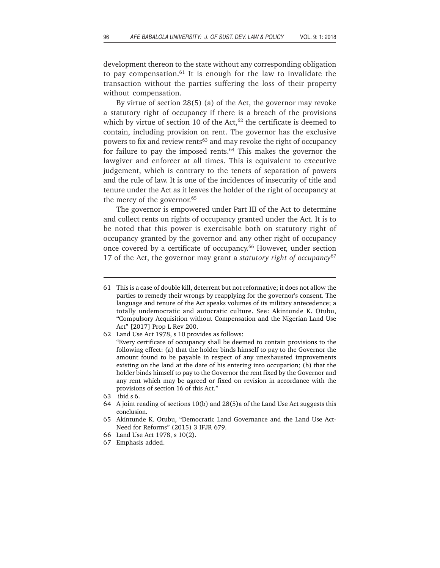development thereon to the state without any corresponding obligation to pay compensation. $61$  It is enough for the law to invalidate the transaction without the parties suffering the loss of their property without compensation.

By virtue of section 28(5) (a) of the Act, the governor may revoke a statutory right of occupancy if there is a breach of the provisions which by virtue of section 10 of the Act, $62$  the certificate is deemed to contain, including provision on rent. The governor has the exclusive powers to fix and review rents<sup>63</sup> and may revoke the right of occupancy for failure to pay the imposed rents.<sup>64</sup> This makes the governor the lawgiver and enforcer at all times. This is equivalent to executive judgement, which is contrary to the tenets of separation of powers and the rule of law. It is one of the incidences of insecurity of title and tenure under the Act as it leaves the holder of the right of occupancy at the mercy of the governor.<sup>65</sup>

The governor is empowered under Part III of the Act to determine and collect rents on rights of occupancy granted under the Act. It is to be noted that this power is exercisable both on statutory right of occupancy granted by the governor and any other right of occupancy once covered by a certificate of occupancy.<sup>66</sup> However, under section 17 of the Act, the governor may grant a *statutory right of occupancy*67

<sup>61</sup> This is a case of double kill, deterrent but not reformative; it does not allow the parties to remedy their wrongs by reapplying for the governor's consent. The language and tenure of the Act speaks volumes of its military antecedence; a totally undemocratic and autocratic culture. See: Akintunde K. Otubu, "Compulsory Acquisition without Compensation and the Nigerian Land Use Act" [2017] Prop L Rev 200.

<sup>62</sup> Land Use Act 1978, s 10 provides as follows: "Every certificate of occupancy shall be deemed to contain provisions to the following effect: (a) that the holder binds himself to pay to the Governor the amount found to be payable in respect of any unexhausted improvements existing on the land at the date of his entering into occupation; (b) that the holder binds himself to pay to the Governor the rent fixed by the Governor and any rent which may be agreed or fixed on revision in accordance with the provisions of section 16 of this Act."

<sup>63</sup> ibid s 6.

<sup>64</sup> A joint reading of sections 10(b) and 28(5)a of the Land Use Act suggests this conclusion.

<sup>65</sup> Akintunde K. Otubu, "Democratic Land Governance and the Land Use Act-Need for Reforms" (2015) 3 IFJR 679.

<sup>66</sup> Land Use Act 1978, s 10(2).

<sup>67</sup> Emphasis added.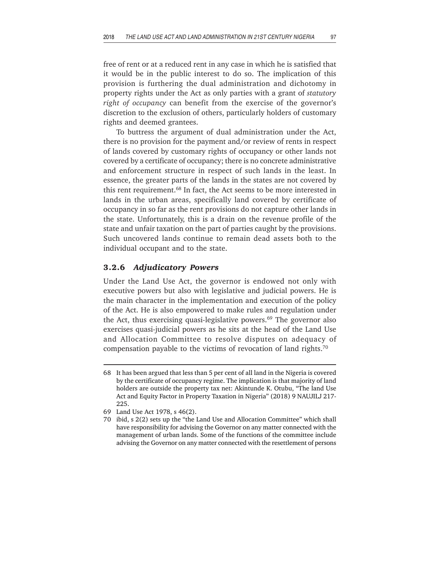free of rent or at a reduced rent in any case in which he is satisfied that it would be in the public interest to do so. The implication of this provision is furthering the dual administration and dichotomy in property rights under the Act as only parties with a grant of *statutory right of occupancy* can benefit from the exercise of the governor's discretion to the exclusion of others, particularly holders of customary rights and deemed grantees.

To buttress the argument of dual administration under the Act, there is no provision for the payment and/or review of rents in respect of lands covered by customary rights of occupancy or other lands not covered by a certificate of occupancy; there is no concrete administrative and enforcement structure in respect of such lands in the least. In essence, the greater parts of the lands in the states are not covered by this rent requirement.<sup>68</sup> In fact, the Act seems to be more interested in lands in the urban areas, specifically land covered by certificate of occupancy in so far as the rent provisions do not capture other lands in the state. Unfortunately, this is a drain on the revenue profile of the state and unfair taxation on the part of parties caught by the provisions. Such uncovered lands continue to remain dead assets both to the individual occupant and to the state.

#### **3.2.6** *Adjudicatory Powers*

Under the Land Use Act, the governor is endowed not only with executive powers but also with legislative and judicial powers. He is the main character in the implementation and execution of the policy of the Act. He is also empowered to make rules and regulation under the Act, thus exercising quasi-legislative powers.<sup>69</sup> The governor also exercises quasi-judicial powers as he sits at the head of the Land Use and Allocation Committee to resolve disputes on adequacy of compensation payable to the victims of revocation of land rights.70

<sup>68</sup> It has been argued that less than 5 per cent of all land in the Nigeria is covered by the certificate of occupancy regime. The implication is that majority of land holders are outside the property tax net: Akintunde K. Otubu, "The land Use Act and Equity Factor in Property Taxation in Nigeria" (2018) 9 NAUJILJ 217- 225.

<sup>69</sup> Land Use Act 1978, s 46(2).

<sup>70</sup> ibid, s 2(2) sets up the "the Land Use and Allocation Committee" which shall have responsibility for advising the Governor on any matter connected with the management of urban lands. Some of the functions of the committee include advising the Governor on any matter connected with the resettlement of persons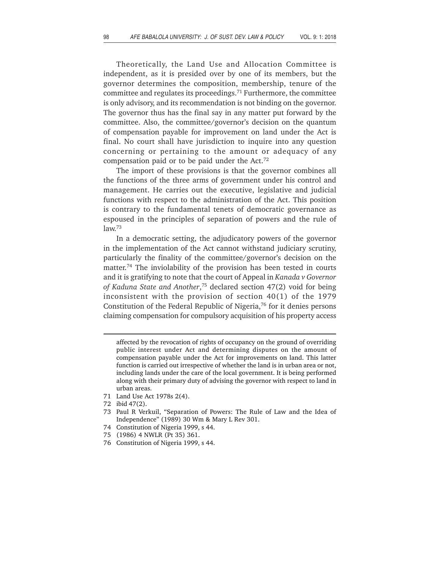Theoretically, the Land Use and Allocation Committee is independent, as it is presided over by one of its members, but the governor determines the composition, membership, tenure of the committee and regulates its proceedings.71 Furthermore, the committee is only advisory, and its recommendation is not binding on the governor. The governor thus has the final say in any matter put forward by the committee. Also, the committee/governor's decision on the quantum of compensation payable for improvement on land under the Act is final. No court shall have jurisdiction to inquire into any question concerning or pertaining to the amount or adequacy of any compensation paid or to be paid under the Act.72

The import of these provisions is that the governor combines all the functions of the three arms of government under his control and management. He carries out the executive, legislative and judicial functions with respect to the administration of the Act. This position is contrary to the fundamental tenets of democratic governance as espoused in the principles of separation of powers and the rule of law.73

In a democratic setting, the adjudicatory powers of the governor in the implementation of the Act cannot withstand judiciary scrutiny, particularly the finality of the committee/governor's decision on the matter.74 The inviolability of the provision has been tested in courts and it is gratifying to note that the court of Appeal in *Kanada v Governor of Kaduna State and Another*, 75 declared section 47(2) void for being inconsistent with the provision of section 40(1) of the 1979 Constitution of the Federal Republic of Nigeria, $76$  for it denies persons claiming compensation for compulsory acquisition of his property access

- 71 Land Use Act 1978s 2(4).
- 72 ibid 47(2).
- 73 Paul R Verkuil, "Separation of Powers: The Rule of Law and the Idea of Independence" (1989) 30 Wm & Mary L Rev 301.
- 74 Constitution of Nigeria 1999, s 44.
- 75 (1986) 4 NWLR (Pt 35) 361.
- 76 Constitution of Nigeria 1999, s 44.

affected by the revocation of rights of occupancy on the ground of overriding public interest under Act and determining disputes on the amount of compensation payable under the Act for improvements on land. This latter function is carried out irrespective of whether the land is in urban area or not, including lands under the care of the local government. It is being performed along with their primary duty of advising the governor with respect to land in urban areas.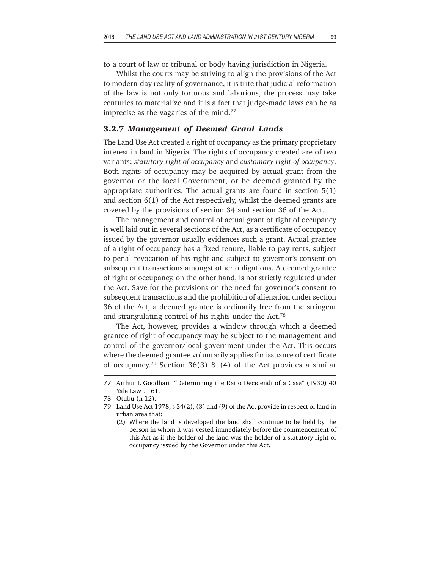to a court of law or tribunal or body having jurisdiction in Nigeria.

Whilst the courts may be striving to align the provisions of the Act to modern-day reality of governance, it is trite that judicial reformation of the law is not only tortuous and laborious, the process may take centuries to materialize and it is a fact that judge-made laws can be as imprecise as the vagaries of the mind.77

#### **3.2.7** *Management of Deemed Grant Lands*

The Land Use Act created a right of occupancy as the primary proprietary interest in land in Nigeria. The rights of occupancy created are of two variants: *statutory right of occupancy* and *customary right of occupancy*. Both rights of occupancy may be acquired by actual grant from the governor or the local Government, or be deemed granted by the appropriate authorities. The actual grants are found in section 5(1) and section 6(1) of the Act respectively, whilst the deemed grants are covered by the provisions of section 34 and section 36 of the Act.

The management and control of actual grant of right of occupancy is well laid out in several sections of the Act, as a certificate of occupancy issued by the governor usually evidences such a grant. Actual grantee of a right of occupancy has a fixed tenure, liable to pay rents, subject to penal revocation of his right and subject to governor's consent on subsequent transactions amongst other obligations. A deemed grantee of right of occupancy, on the other hand, is not strictly regulated under the Act. Save for the provisions on the need for governor's consent to subsequent transactions and the prohibition of alienation under section 36 of the Act, a deemed grantee is ordinarily free from the stringent and strangulating control of his rights under the Act.78

The Act, however, provides a window through which a deemed grantee of right of occupancy may be subject to the management and control of the governor/local government under the Act. This occurs where the deemed grantee voluntarily applies for issuance of certificate of occupancy.<sup>79</sup> Section 36(3) & (4) of the Act provides a similar

<sup>77</sup> Arthur L Goodhart, "Determining the Ratio Decidendi of a Case" (1930) 40 Yale Law J 161.

<sup>78</sup> Otubu (n 12).

<sup>79</sup> Land Use Act 1978, s 34(2), (3) and (9) of the Act provide in respect of land in urban area that:

<sup>(2)</sup> Where the land is developed the land shall continue to be held by the person in whom it was vested immediately before the commencement of this Act as if the holder of the land was the holder of a statutory right of occupancy issued by the Governor under this Act.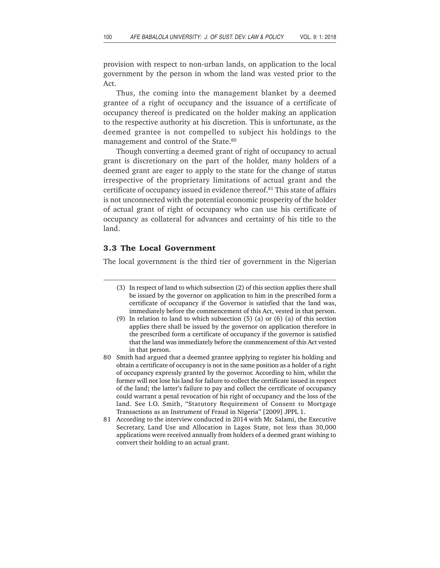provision with respect to non-urban lands, on application to the local government by the person in whom the land was vested prior to the Act.

Thus, the coming into the management blanket by a deemed grantee of a right of occupancy and the issuance of a certificate of occupancy thereof is predicated on the holder making an application to the respective authority at his discretion. This is unfortunate, as the deemed grantee is not compelled to subject his holdings to the management and control of the State.<sup>80</sup>

Though converting a deemed grant of right of occupancy to actual grant is discretionary on the part of the holder, many holders of a deemed grant are eager to apply to the state for the change of status irrespective of the proprietary limitations of actual grant and the certificate of occupancy issued in evidence thereof.<sup>81</sup> This state of affairs is not unconnected with the potential economic prosperity of the holder of actual grant of right of occupancy who can use his certificate of occupancy as collateral for advances and certainty of his title to the land.

# **3.3 The Local Government**

The local government is the third tier of government in the Nigerian

- (3) In respect of land to which subsection (2) of this section applies there shall be issued by the governor on application to him in the prescribed form a certificate of occupancy if the Governor is satisfied that the land was, immediately before the commencement of this Act, vested in that person.
- (9) In relation to land to which subsection (5) (a) or (6) (a) of this section applies there shall be issued by the governor on application therefore in the prescribed form a certificate of occupancy if the governor is satisfied that the land was immediately before the commencement of this Act vested in that person.
- 80 Smith had argued that a deemed grantee applying to register his holding and obtain a certificate of occupancy is not in the same position as a holder of a right of occupancy expressly granted by the governor. According to him, whilst the former will not lose his land for failure to collect the certificate issued in respect of the land; the latter's failure to pay and collect the certificate of occupancy could warrant a penal revocation of his right of occupancy and the loss of the land. See I.O. Smith, "Statutory Requirement of Consent to Mortgage Transactions as an Instrument of Fraud in Nigeria" [2009] JPPL 1.
- 81 According to the interview conducted in 2014 with Mr. Salami, the Executive Secretary, Land Use and Allocation in Lagos State, not less than 30,000 applications were received annually from holders of a deemed grant wishing to convert their holding to an actual grant.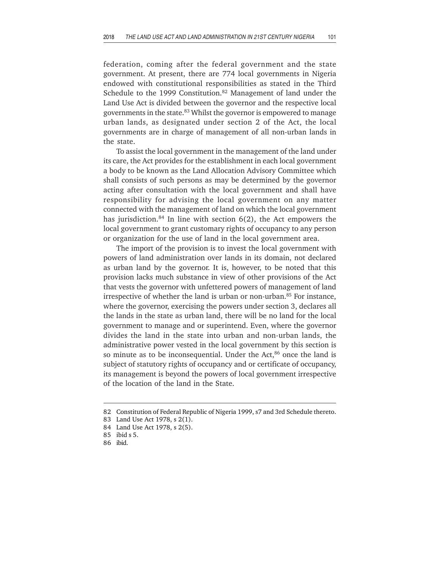federation, coming after the federal government and the state government. At present, there are 774 local governments in Nigeria endowed with constitutional responsibilities as stated in the Third Schedule to the 1999 Constitution.<sup>82</sup> Management of land under the Land Use Act is divided between the governor and the respective local governments in the state.<sup>83</sup> Whilst the governor is empowered to manage urban lands, as designated under section 2 of the Act, the local governments are in charge of management of all non-urban lands in the state.

To assist the local government in the management of the land under its care, the Act provides for the establishment in each local government a body to be known as the Land Allocation Advisory Committee which shall consists of such persons as may be determined by the governor acting after consultation with the local government and shall have responsibility for advising the local government on any matter connected with the management of land on which the local government has jurisdiction.<sup>84</sup> In line with section  $6(2)$ , the Act empowers the local government to grant customary rights of occupancy to any person or organization for the use of land in the local government area.

The import of the provision is to invest the local government with powers of land administration over lands in its domain, not declared as urban land by the governor. It is, however, to be noted that this provision lacks much substance in view of other provisions of the Act that vests the governor with unfettered powers of management of land irrespective of whether the land is urban or non-urban.<sup>85</sup> For instance, where the governor, exercising the powers under section 3, declares all the lands in the state as urban land, there will be no land for the local government to manage and or superintend. Even, where the governor divides the land in the state into urban and non-urban lands, the administrative power vested in the local government by this section is so minute as to be inconsequential. Under the Act, $86$  once the land is subject of statutory rights of occupancy and or certificate of occupancy, its management is beyond the powers of local government irrespective of the location of the land in the State.

<sup>82</sup> Constitution of Federal Republic of Nigeria 1999, s7 and 3rd Schedule thereto.

<sup>83</sup> Land Use Act 1978, s 2(1).

<sup>84</sup> Land Use Act 1978, s 2(5).

<sup>85</sup> ibid s 5.

<sup>86</sup> ibid.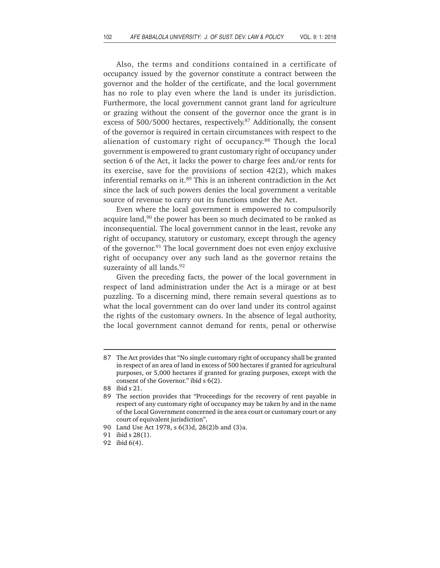Also, the terms and conditions contained in a certificate of occupancy issued by the governor constitute a contract between the governor and the holder of the certificate, and the local government has no role to play even where the land is under its jurisdiction. Furthermore, the local government cannot grant land for agriculture or grazing without the consent of the governor once the grant is in excess of 500/5000 hectares, respectively.<sup>87</sup> Additionally, the consent of the governor is required in certain circumstances with respect to the alienation of customary right of occupancy.88 Though the local government is empowered to grant customary right of occupancy under section 6 of the Act, it lacks the power to charge fees and/or rents for its exercise, save for the provisions of section 42(2), which makes inferential remarks on it.<sup>89</sup> This is an inherent contradiction in the Act since the lack of such powers denies the local government a veritable source of revenue to carry out its functions under the Act.

Even where the local government is empowered to compulsorily acquire land,<sup>90</sup> the power has been so much decimated to be ranked as inconsequential. The local government cannot in the least, revoke any right of occupancy, statutory or customary, except through the agency of the governor.91 The local government does not even enjoy exclusive right of occupancy over any such land as the governor retains the suzerainty of all lands.<sup>92</sup>

Given the preceding facts, the power of the local government in respect of land administration under the Act is a mirage or at best puzzling. To a discerning mind, there remain several questions as to what the local government can do over land under its control against the rights of the customary owners. In the absence of legal authority, the local government cannot demand for rents, penal or otherwise

<sup>87</sup> The Act provides that "No single customary right of occupancy shall be granted in respect of an area of land in excess of 500 hectares if granted for agricultural purposes, or 5,000 hectares if granted for grazing purposes, except with the consent of the Governor." ibid s 6(2).

<sup>88</sup> ibid s 21.

<sup>89</sup> The section provides that "Proceedings for the recovery of rent payable in respect of any customary right of occupancy may be taken by and in the name of the Local Government concerned in the area court or customary court or any court of equivalent jurisdiction".

<sup>90</sup> Land Use Act 1978, s 6(3)d, 28(2)b and (3)a.

<sup>91</sup> ibid s 28(1).

<sup>92</sup> ibid 6(4).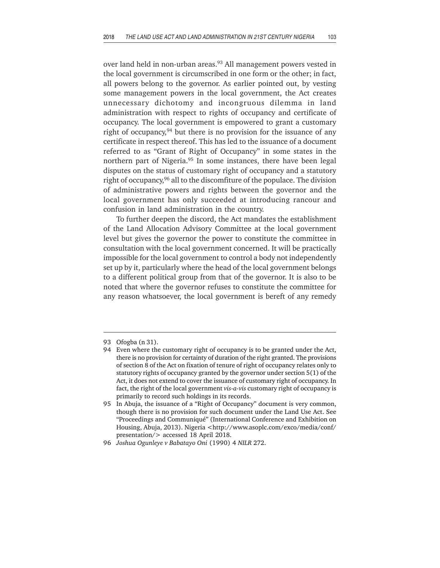over land held in non-urban areas.<sup>93</sup> All management powers vested in the local government is circumscribed in one form or the other; in fact, all powers belong to the governor. As earlier pointed out, by vesting some management powers in the local government, the Act creates unnecessary dichotomy and incongruous dilemma in land administration with respect to rights of occupancy and certificate of occupancy. The local government is empowered to grant a customary right of occupancy,  $94$  but there is no provision for the issuance of any certificate in respect thereof. This has led to the issuance of a document referred to as "Grant of Right of Occupancy" in some states in the northern part of Nigeria.<sup>95</sup> In some instances, there have been legal disputes on the status of customary right of occupancy and a statutory right of occupancy,96 all to the discomfiture of the populace. The division of administrative powers and rights between the governor and the local government has only succeeded at introducing rancour and confusion in land administration in the country.

To further deepen the discord, the Act mandates the establishment of the Land Allocation Advisory Committee at the local government level but gives the governor the power to constitute the committee in consultation with the local government concerned. It will be practically impossible for the local government to control a body not independently set up by it, particularly where the head of the local government belongs to a different political group from that of the governor. It is also to be noted that where the governor refuses to constitute the committee for any reason whatsoever, the local government is bereft of any remedy

<sup>93</sup> Ofogba (n 31).

<sup>94</sup> Even where the customary right of occupancy is to be granted under the Act, there is no provision for certainty of duration of the right granted. The provisions of section 8 of the Act on fixation of tenure of right of occupancy relates only to statutory rights of occupancy granted by the governor under section 5(1) of the Act, it does not extend to cover the issuance of customary right of occupancy. In fact, the right of the local government *vis-a-vis* customary right of occupancy is primarily to record such holdings in its records.

<sup>95</sup> In Abuja, the issuance of a "Right of Occupancy" document is very common, though there is no provision for such document under the Land Use Act. See "Proceedings and Communiqué" (International Conference and Exhibition on Housing, Abuja, 2013). Nigeria <http://www.asoplc.com/exco/media/conf/ presentation/> accessed 18 April 2018.

<sup>96</sup> *Joshua Ogunleye v Babatayo Oni* (1990) 4 *NILR* 272.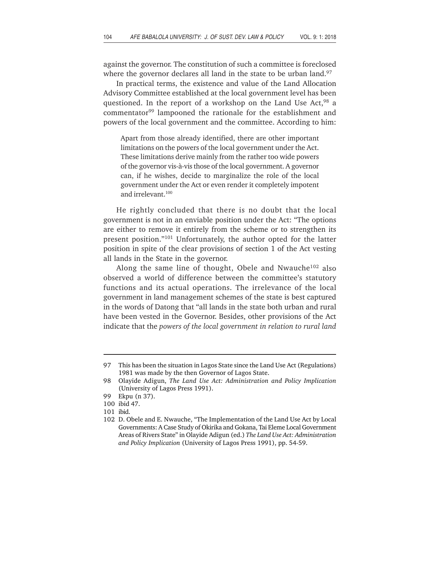against the governor. The constitution of such a committee is foreclosed where the governor declares all land in the state to be urban land.<sup>97</sup>

In practical terms, the existence and value of the Land Allocation Advisory Committee established at the local government level has been questioned. In the report of a workshop on the Land Use Act,<sup>98</sup> a commentator<sup>99</sup> lampooned the rationale for the establishment and powers of the local government and the committee. According to him:

Apart from those already identified, there are other important limitations on the powers of the local government under the Act. These limitations derive mainly from the rather too wide powers of the governor vis-à-vis those of the local government. A governor can, if he wishes, decide to marginalize the role of the local government under the Act or even render it completely impotent and irrelevant.<sup>100</sup>

He rightly concluded that there is no doubt that the local government is not in an enviable position under the Act: "The options are either to remove it entirely from the scheme or to strengthen its present position."101 Unfortunately, the author opted for the latter position in spite of the clear provisions of section 1 of the Act vesting all lands in the State in the governor.

Along the same line of thought, Obele and Nwauche $102$  also observed a world of difference between the committee's statutory functions and its actual operations. The irrelevance of the local government in land management schemes of the state is best captured in the words of Datong that "all lands in the state both urban and rural have been vested in the Governor. Besides, other provisions of the Act indicate that the *powers of the local government in relation to rural land*

<sup>97</sup> This has been the situation in Lagos State since the Land Use Act (Regulations) 1981 was made by the then Governor of Lagos State.

<sup>98</sup> Olayide Adigun, *The Land Use Act: Administration and Policy Implication* (University of Lagos Press 1991).

<sup>99</sup> Ekpu (n 37).

<sup>100</sup> ibid 47.

<sup>101</sup> ibid.

<sup>102</sup> D. Obele and E. Nwauche, "The Implementation of the Land Use Act by Local Governments: A Case Study of Okirika and Gokana, Tai Eleme Local Government Areas of Rivers State" in Olayide Adigun (ed.) *The Land Use Act: Administration and Policy Implication* (University of Lagos Press 1991), pp. 54-59.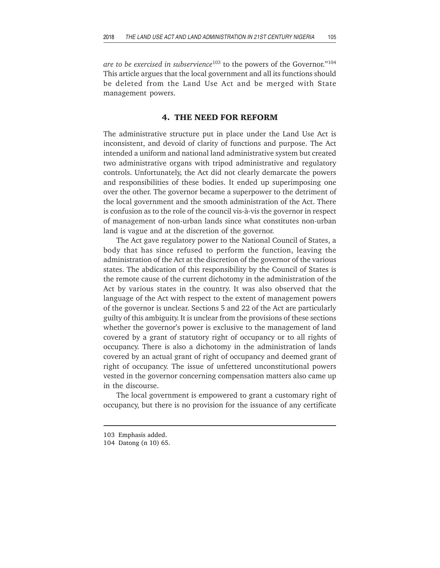*are to be exercised in subservience*103 to the powers of the Governor."104 This article argues that the local government and all its functions should be deleted from the Land Use Act and be merged with State management powers.

# **4. THE NEED FOR REFORM**

The administrative structure put in place under the Land Use Act is inconsistent, and devoid of clarity of functions and purpose. The Act intended a uniform and national land administrative system but created two administrative organs with tripod administrative and regulatory controls. Unfortunately, the Act did not clearly demarcate the powers and responsibilities of these bodies. It ended up superimposing one over the other. The governor became a superpower to the detriment of the local government and the smooth administration of the Act. There is confusion as to the role of the council vis-à-vis the governor in respect of management of non-urban lands since what constitutes non-urban land is vague and at the discretion of the governor.

The Act gave regulatory power to the National Council of States, a body that has since refused to perform the function, leaving the administration of the Act at the discretion of the governor of the various states. The abdication of this responsibility by the Council of States is the remote cause of the current dichotomy in the administration of the Act by various states in the country. It was also observed that the language of the Act with respect to the extent of management powers of the governor is unclear. Sections 5 and 22 of the Act are particularly guilty of this ambiguity. It is unclear from the provisions of these sections whether the governor's power is exclusive to the management of land covered by a grant of statutory right of occupancy or to all rights of occupancy. There is also a dichotomy in the administration of lands covered by an actual grant of right of occupancy and deemed grant of right of occupancy. The issue of unfettered unconstitutional powers vested in the governor concerning compensation matters also came up in the discourse.

The local government is empowered to grant a customary right of occupancy, but there is no provision for the issuance of any certificate

<sup>103</sup> Emphasis added.

<sup>104</sup> Datong (n 10) 65.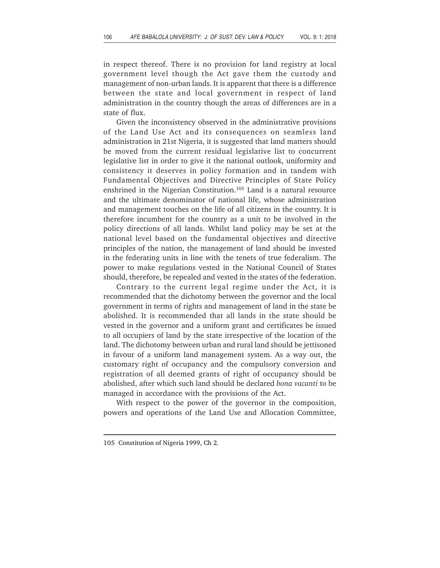in respect thereof. There is no provision for land registry at local government level though the Act gave them the custody and management of non-urban lands. It is apparent that there is a difference between the state and local government in respect of land administration in the country though the areas of differences are in a state of flux.

Given the inconsistency observed in the administrative provisions of the Land Use Act and its consequences on seamless land administration in 21st Nigeria, it is suggested that land matters should be moved from the current residual legislative list to concurrent legislative list in order to give it the national outlook, uniformity and consistency it deserves in policy formation and in tandem with Fundamental Objectives and Directive Principles of State Policy enshrined in the Nigerian Constitution.<sup>105</sup> Land is a natural resource and the ultimate denominator of national life, whose administration and management touches on the life of all citizens in the country. It is therefore incumbent for the country as a unit to be involved in the policy directions of all lands. Whilst land policy may be set at the national level based on the fundamental objectives and directive principles of the nation, the management of land should be invested in the federating units in line with the tenets of true federalism. The power to make regulations vested in the National Council of States should, therefore, be repealed and vested in the states of the federation.

Contrary to the current legal regime under the Act, it is recommended that the dichotomy between the governor and the local government in terms of rights and management of land in the state be abolished. It is recommended that all lands in the state should be vested in the governor and a uniform grant and certificates be issued to all occupiers of land by the state irrespective of the location of the land. The dichotomy between urban and rural land should be jettisoned in favour of a uniform land management system. As a way out, the customary right of occupancy and the compulsory conversion and registration of all deemed grants of right of occupancy should be abolished, after which such land should be declared *bona vacanti* to be managed in accordance with the provisions of the Act.

With respect to the power of the governor in the composition, powers and operations of the Land Use and Allocation Committee,

<sup>105</sup> Constitution of Nigeria 1999, Ch 2.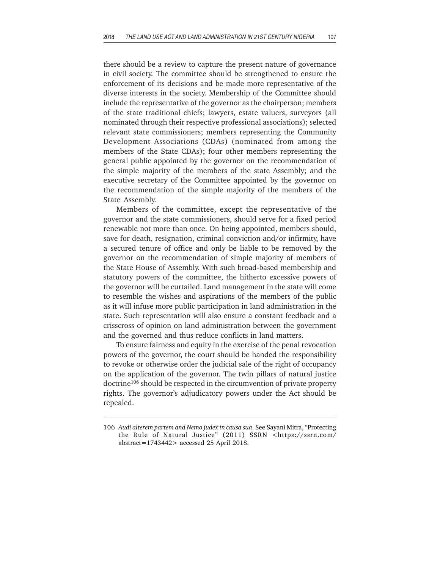there should be a review to capture the present nature of governance in civil society. The committee should be strengthened to ensure the enforcement of its decisions and be made more representative of the diverse interests in the society. Membership of the Committee should include the representative of the governor as the chairperson; members of the state traditional chiefs; lawyers, estate valuers, surveyors (all nominated through their respective professional associations); selected relevant state commissioners; members representing the Community Development Associations (CDAs) (nominated from among the members of the State CDAs); four other members representing the general public appointed by the governor on the recommendation of the simple majority of the members of the state Assembly; and the executive secretary of the Committee appointed by the governor on the recommendation of the simple majority of the members of the State Assembly.

Members of the committee, except the representative of the governor and the state commissioners, should serve for a fixed period renewable not more than once. On being appointed, members should, save for death, resignation, criminal conviction and/or infirmity, have a secured tenure of office and only be liable to be removed by the governor on the recommendation of simple majority of members of the State House of Assembly. With such broad-based membership and statutory powers of the committee, the hitherto excessive powers of the governor will be curtailed. Land management in the state will come to resemble the wishes and aspirations of the members of the public as it will infuse more public participation in land administration in the state. Such representation will also ensure a constant feedback and a crisscross of opinion on land administration between the government and the governed and thus reduce conflicts in land matters.

To ensure fairness and equity in the exercise of the penal revocation powers of the governor, the court should be handed the responsibility to revoke or otherwise order the judicial sale of the right of occupancy on the application of the governor. The twin pillars of natural justice doctrine<sup>106</sup> should be respected in the circumvention of private property rights. The governor's adjudicatory powers under the Act should be repealed.

<sup>106</sup> *Audi alterem partem and Nemo judex in causa sua*. See Sayani Mitra, "Protecting the Rule of Natural Justice" (2011) SSRN <https://ssrn.com/ abstract=1743442> accessed 25 April 2018.